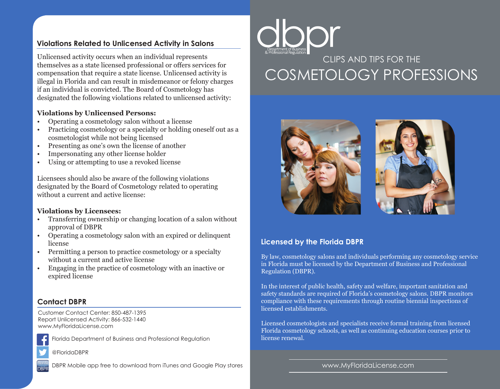# **Violations Related to Unlicensed Activity in Salons**

Unlicensed activity occurs when an individual represents themselves as a state licensed professional or offers services for compensation that require a state license. Unlicensed activity is illegal in Florida and can result in misdemeanor or felony charges if an individual is convicted. The Board of Cosmetology has designated the following violations related to unlicensed activity:

#### **Violations by Unlicensed Persons:**

- Operating a cosmetology salon without a license
- Practicing cosmetology or a specialty or holding oneself out as a cosmetologist while not being licensed
- Presenting as one's own the license of another
- Impersonating any other license holder
- Using or attempting to use a revoked license

Licensees should also be aware of the following violations designated by the Board of Cosmetology related to operating without a current and active license:

#### **Violations by Licensees:**

- Transferring ownership or changing location of a salon without approval of DBPR
- Operating a cosmetology salon with an expired or delinquent license
- Permitting a person to practice cosmetology or a specialty without a current and active license
- Engaging in the practice of cosmetology with an inactive or expired license

## **Contact DBPR**

Customer Contact Center: 850-487-1395 Report Unlicensed Activity: 866-532-1440 www.MyFloridaLicense.com



Florida Department of Business and Professional Regulation

@FloridaDBPR

DBPR Mobile app free to download from iTunes and Google Play stores



# CLIPS AND TIPS FOR THE COSMETOLOGY PROFESSIONS





## **Licensed by the Florida DBPR**

By law, cosmetology salons and individuals performing any cosmetology service in Florida must be licensed by the Department of Business and Professional Regulation (DBPR).

In the interest of public health, safety and welfare, important sanitation and safety standards are required of Florida's cosmetology salons. DBPR monitors compliance with these requirements through routine biennial inspections of licensed establishments.

Licensed cosmetologists and specialists receive formal training from licensed Florida cosmetology schools, as well as continuing education courses prior to license renewal.

www.MyFloridaLicense.com